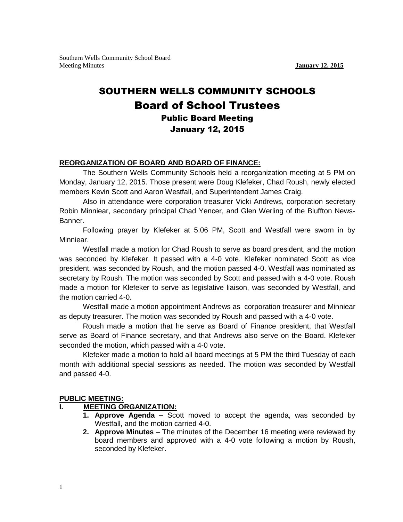Southern Wells Community School Board Meeting Minutes **January 12, 2015**

# SOUTHERN WELLS COMMUNITY SCHOOLS Board of School Trustees Public Board Meeting January 12, 2015

#### **REORGANIZATION OF BOARD AND BOARD OF FINANCE:**

The Southern Wells Community Schools held a reorganization meeting at 5 PM on Monday, January 12, 2015. Those present were Doug Klefeker, Chad Roush, newly elected members Kevin Scott and Aaron Westfall, and Superintendent James Craig.

Also in attendance were corporation treasurer Vicki Andrews, corporation secretary Robin Minniear, secondary principal Chad Yencer, and Glen Werling of the Bluffton News-Banner.

Following prayer by Klefeker at 5:06 PM, Scott and Westfall were sworn in by Minniear.

Westfall made a motion for Chad Roush to serve as board president, and the motion was seconded by Klefeker. It passed with a 4-0 vote. Klefeker nominated Scott as vice president, was seconded by Roush, and the motion passed 4-0. Westfall was nominated as secretary by Roush. The motion was seconded by Scott and passed with a 4-0 vote. Roush made a motion for Klefeker to serve as legislative liaison, was seconded by Westfall, and the motion carried 4-0.

Westfall made a motion appointment Andrews as corporation treasurer and Minniear as deputy treasurer. The motion was seconded by Roush and passed with a 4-0 vote.

Roush made a motion that he serve as Board of Finance president, that Westfall serve as Board of Finance secretary, and that Andrews also serve on the Board. Klefeker seconded the motion, which passed with a 4-0 vote.

Klefeker made a motion to hold all board meetings at 5 PM the third Tuesday of each month with additional special sessions as needed. The motion was seconded by Westfall and passed 4-0.

#### **PUBLIC MEETING:**

#### **I. MEETING ORGANIZATION:**

- **1. Approve Agenda –** Scott moved to accept the agenda, was seconded by Westfall, and the motion carried 4-0.
- **2. Approve Minutes** The minutes of the December 16 meeting were reviewed by board members and approved with a 4-0 vote following a motion by Roush, seconded by Klefeker.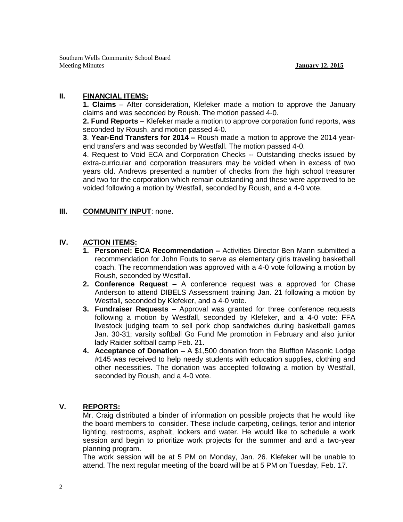Southern Wells Community School Board Meeting Minutes **January 12, 2015**

# **II. FINANCIAL ITEMS:**

**1. Claims** – After consideration, Klefeker made a motion to approve the January claims and was seconded by Roush. The motion passed 4-0.

**2. Fund Reports** – Klefeker made a motion to approve corporation fund reports, was seconded by Roush, and motion passed 4-0.

**3**. **Year-End Transfers for 2014 –** Roush made a motion to approve the 2014 yearend transfers and was seconded by Westfall. The motion passed 4-0.

4. Request to Void ECA and Corporation Checks -- Outstanding checks issued by extra-curricular and corporation treasurers may be voided when in excess of two years old. Andrews presented a number of checks from the high school treasurer and two for the corporation which remain outstanding and these were approved to be voided following a motion by Westfall, seconded by Roush, and a 4-0 vote.

#### **III. COMMUNITY INPUT**: none.

### **IV. ACTION ITEMS:**

- **1. Personnel: ECA Recommendation –** Activities Director Ben Mann submitted a recommendation for John Fouts to serve as elementary girls traveling basketball coach. The recommendation was approved with a 4-0 vote following a motion by Roush, seconded by Westfall.
- **2. Conference Request –** A conference request was a approved for Chase Anderson to attend DIBELS Assessment training Jan. 21 following a motion by Westfall, seconded by Klefeker, and a 4-0 vote.
- **3. Fundraiser Requests –** Approval was granted for three conference requests following a motion by Westfall, seconded by Klefeker, and a 4-0 vote: FFA livestock judging team to sell pork chop sandwiches during basketball games Jan. 30-31; varsity softball Go Fund Me promotion in February and also junior lady Raider softball camp Feb. 21.
- **4. Acceptance of Donation –** A \$1,500 donation from the Bluffton Masonic Lodge #145 was received to help needy students with education supplies, clothing and other necessities. The donation was accepted following a motion by Westfall, seconded by Roush, and a 4-0 vote.

#### **V. REPORTS:**

Mr. Craig distributed a binder of information on possible projects that he would like the board members to consider. These include carpeting, ceilings, terior and interior lighting, restrooms, asphalt, lockers and water. He would like to schedule a work session and begin to prioritize work projects for the summer and and a two-year planning program.

The work session will be at 5 PM on Monday, Jan. 26. Klefeker will be unable to attend. The next regular meeting of the board will be at 5 PM on Tuesday, Feb. 17.